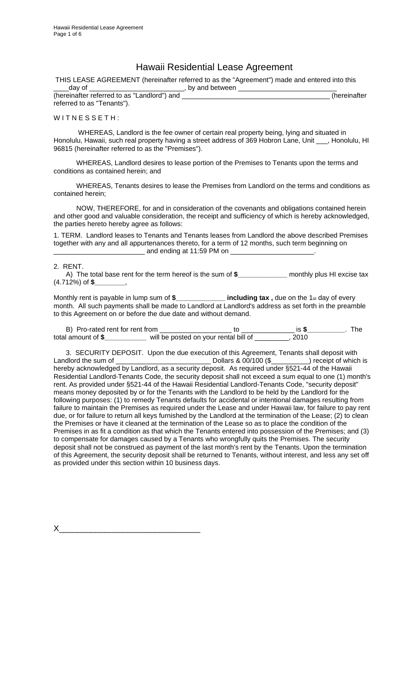## Hawaii Residential Lease Agreement

 THIS LEASE AGREEMENT (hereinafter referred to as the "Agreement") made and entered into this \_\_\_\_day of \_\_\_\_\_\_\_\_\_\_\_\_\_\_\_\_\_\_\_\_\_\_\_\_\_, by and between \_\_\_\_\_\_\_\_\_\_\_\_\_\_\_\_\_\_\_\_\_\_\_\_\_\_ (hereinafter referred to as "Landlord") and \_\_\_\_\_\_\_\_\_\_\_\_\_\_\_\_\_\_\_\_\_\_\_\_\_\_\_\_\_\_\_\_\_\_\_\_\_\_\_ (hereinafter referred to as "Tenants").

## WITNESSETH:

WHEREAS, Landlord is the fee owner of certain real property being, lying and situated in Honolulu, Hawaii, such real property having a street address of 369 Hobron Lane, Unit \_\_\_, Honolulu, HI 96815 (hereinafter referred to as the "Premises").

 WHEREAS, Landlord desires to lease portion of the Premises to Tenants upon the terms and conditions as contained herein; and

 WHEREAS, Tenants desires to lease the Premises from Landlord on the terms and conditions as contained herein;

 NOW, THEREFORE, for and in consideration of the covenants and obligations contained herein and other good and valuable consideration, the receipt and sufficiency of which is hereby acknowledged, the parties hereto hereby agree as follows:

1. TERM. Landlord leases to Tenants and Tenants leases from Landlord the above described Premises together with any and all appurtenances thereto, for a term of 12 months, such term beginning on  $\frac{1}{2}$  and ending at 11:59 PM on  $\frac{1}{2}$ 

2. RENT.

A) The total base rent for the term hereof is the sum of **\$\_\_\_\_\_\_\_\_\_\_\_\_\_** monthly plus HI excise tax (4.712%) of **\$\_\_\_\_\_\_\_\_**,

Monthly rent is payable in lump sum of \$\_\_\_\_\_\_\_\_\_\_\_\_\_\_\_ including tax, due on the 1st day of every month. All such payments shall be made to Landlord at Landlord's address as set forth in the preamble to this Agreement on or before the due date and without demand.

B) Pro-rated rent for rent from \_\_\_\_\_\_\_\_\_\_\_\_\_\_\_\_\_\_\_ to \_\_\_\_\_\_\_\_\_\_\_\_\_\_ is **\$\_\_\_\_\_\_\_\_\_\_**. The total amount of **\$\_\_\_\_\_\_\_\_\_\_\_** will be posted on your rental bill of \_\_\_\_\_\_\_\_\_, 2010

3. SECURITY DEPOSIT. Upon the due execution of this Agreement, Tenants shall deposit with Landlord the sum of \_\_\_\_\_\_\_\_\_\_\_\_\_\_\_\_\_\_\_\_\_\_\_\_\_ Dollars & 00/100 (\$\_\_\_\_\_\_\_\_\_\_) receipt of which is hereby acknowledged by Landlord, as a security deposit. As required under §521-44 of the Hawaii Residential Landlord-Tenants Code, the security deposit shall not exceed a sum equal to one (1) month's rent. As provided under §521-44 of the Hawaii Residential Landlord-Tenants Code, "security deposit" means money deposited by or for the Tenants with the Landlord to be held by the Landlord for the following purposes: (1) to remedy Tenants defaults for accidental or intentional damages resulting from failure to maintain the Premises as required under the Lease and under Hawaii law, for failure to pay rent due, or for failure to return all keys furnished by the Landlord at the termination of the Lease; (2) to clean the Premises or have it cleaned at the termination of the Lease so as to place the condition of the Premises in as fit a condition as that which the Tenants entered into possession of the Premises; and (3) to compensate for damages caused by a Tenants who wrongfully quits the Premises. The security deposit shall not be construed as payment of the last month's rent by the Tenants. Upon the termination of this Agreement, the security deposit shall be returned to Tenants, without interest, and less any set off as provided under this section within 10 business days.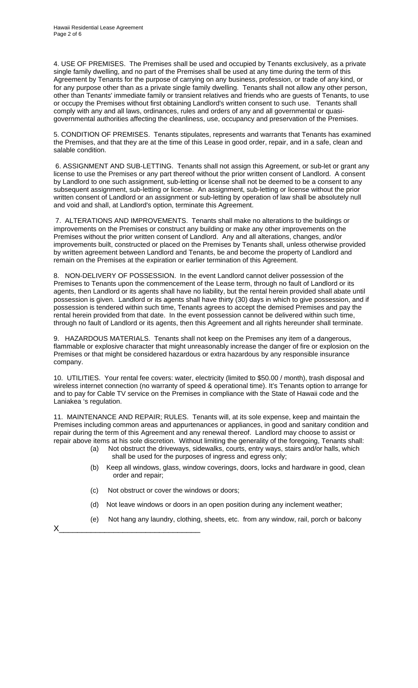4. USE OF PREMISES. The Premises shall be used and occupied by Tenants exclusively, as a private single family dwelling, and no part of the Premises shall be used at any time during the term of this Agreement by Tenants for the purpose of carrying on any business, profession, or trade of any kind, or for any purpose other than as a private single family dwelling. Tenants shall not allow any other person, other than Tenants' immediate family or transient relatives and friends who are guests of Tenants, to use or occupy the Premises without first obtaining Landlord's written consent to such use. Tenants shall comply with any and all laws, ordinances, rules and orders of any and all governmental or quasigovernmental authorities affecting the cleanliness, use, occupancy and preservation of the Premises.

5. CONDITION OF PREMISES. Tenants stipulates, represents and warrants that Tenants has examined the Premises, and that they are at the time of this Lease in good order, repair, and in a safe, clean and salable condition.

 6. ASSIGNMENT AND SUB-LETTING. Tenants shall not assign this Agreement, or sub-let or grant any license to use the Premises or any part thereof without the prior written consent of Landlord. A consent by Landlord to one such assignment, sub-letting or license shall not be deemed to be a consent to any subsequent assignment, sub-letting or license. An assignment, sub-letting or license without the prior written consent of Landlord or an assignment or sub-letting by operation of law shall be absolutely null and void and shall, at Landlord's option, terminate this Agreement.

 7. ALTERATIONS AND IMPROVEMENTS. Tenants shall make no alterations to the buildings or improvements on the Premises or construct any building or make any other improvements on the Premises without the prior written consent of Landlord. Any and all alterations, changes, and/or improvements built, constructed or placed on the Premises by Tenants shall, unless otherwise provided by written agreement between Landlord and Tenants, be and become the property of Landlord and remain on the Premises at the expiration or earlier termination of this Agreement.

8. NON-DELIVERY OF POSSESSION. In the event Landlord cannot deliver possession of the Premises to Tenants upon the commencement of the Lease term, through no fault of Landlord or its agents, then Landlord or its agents shall have no liability, but the rental herein provided shall abate until possession is given. Landlord or its agents shall have thirty (30) days in which to give possession, and if possession is tendered within such time, Tenants agrees to accept the demised Premises and pay the rental herein provided from that date. In the event possession cannot be delivered within such time, through no fault of Landlord or its agents, then this Agreement and all rights hereunder shall terminate.

9. HAZARDOUS MATERIALS. Tenants shall not keep on the Premises any item of a dangerous, flammable or explosive character that might unreasonably increase the danger of fire or explosion on the Premises or that might be considered hazardous or extra hazardous by any responsible insurance company.

10. UTILITIES. Your rental fee covers: water, electricity (limited to \$50.00 / month), trash disposal and wireless internet connection (no warranty of speed & operational time). It's Tenants option to arrange for and to pay for Cable TV service on the Premises in compliance with the State of Hawaii code and the Laniakea 's regulation.

11. MAINTENANCE AND REPAIR; RULES. Tenants will, at its sole expense, keep and maintain the Premises including common areas and appurtenances or appliances, in good and sanitary condition and repair during the term of this Agreement and any renewal thereof. Landlord may choose to assist or repair above items at his sole discretion. Without limiting the generality of the foregoing, Tenants shall:

- (a) Not obstruct the driveways, sidewalks, courts, entry ways, stairs and/or halls, which shall be used for the purposes of ingress and egress only;
- (b) Keep all windows, glass, window coverings, doors, locks and hardware in good, clean order and repair;
- (c) Not obstruct or cover the windows or doors;
- (d) Not leave windows or doors in an open position during any inclement weather;
- (e) Not hang any laundry, clothing, sheets, etc. from any window, rail, porch or balcony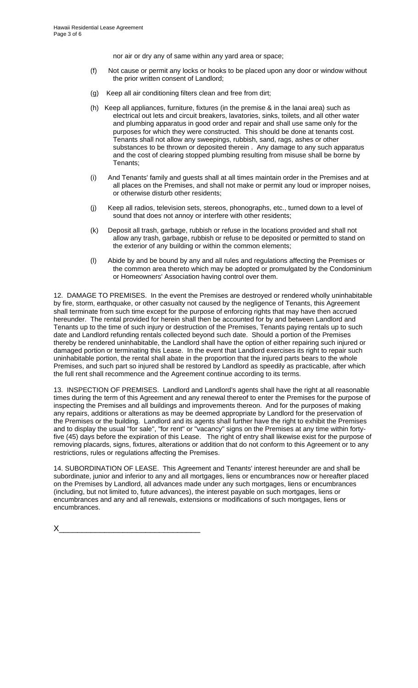nor air or dry any of same within any yard area or space;

- (f) Not cause or permit any locks or hooks to be placed upon any door or window without the prior written consent of Landlord;
- (g) Keep all air conditioning filters clean and free from dirt;
- (h) Keep all appliances, furniture, fixtures (in the premise & in the lanai area) such as electrical out lets and circuit breakers, lavatories, sinks, toilets, and all other water and plumbing apparatus in good order and repair and shall use same only for the purposes for which they were constructed. This should be done at tenants cost. Tenants shall not allow any sweepings, rubbish, sand, rags, ashes or other substances to be thrown or deposited therein . Any damage to any such apparatus and the cost of clearing stopped plumbing resulting from misuse shall be borne by Tenants;
- (i) And Tenants' family and guests shall at all times maintain order in the Premises and at all places on the Premises, and shall not make or permit any loud or improper noises, or otherwise disturb other residents;
- (j) Keep all radios, television sets, stereos, phonographs, etc., turned down to a level of sound that does not annoy or interfere with other residents;
- (k) Deposit all trash, garbage, rubbish or refuse in the locations provided and shall not allow any trash, garbage, rubbish or refuse to be deposited or permitted to stand on the exterior of any building or within the common elements;
- (l) Abide by and be bound by any and all rules and regulations affecting the Premises or the common area thereto which may be adopted or promulgated by the Condominium or Homeowners' Association having control over them.

12. DAMAGE TO PREMISES. In the event the Premises are destroyed or rendered wholly uninhabitable by fire, storm, earthquake, or other casualty not caused by the negligence of Tenants, this Agreement shall terminate from such time except for the purpose of enforcing rights that may have then accrued hereunder. The rental provided for herein shall then be accounted for by and between Landlord and Tenants up to the time of such injury or destruction of the Premises, Tenants paying rentals up to such date and Landlord refunding rentals collected beyond such date. Should a portion of the Premises thereby be rendered uninhabitable, the Landlord shall have the option of either repairing such injured or damaged portion or terminating this Lease. In the event that Landlord exercises its right to repair such uninhabitable portion, the rental shall abate in the proportion that the injured parts bears to the whole Premises, and such part so injured shall be restored by Landlord as speedily as practicable, after which the full rent shall recommence and the Agreement continue according to its terms.

13. INSPECTION OF PREMISES. Landlord and Landlord's agents shall have the right at all reasonable times during the term of this Agreement and any renewal thereof to enter the Premises for the purpose of inspecting the Premises and all buildings and improvements thereon. And for the purposes of making any repairs, additions or alterations as may be deemed appropriate by Landlord for the preservation of the Premises or the building. Landlord and its agents shall further have the right to exhibit the Premises and to display the usual "for sale", "for rent" or "vacancy" signs on the Premises at any time within fortyfive (45) days before the expiration of this Lease. The right of entry shall likewise exist for the purpose of removing placards, signs, fixtures, alterations or addition that do not conform to this Agreement or to any restrictions, rules or regulations affecting the Premises.

14. SUBORDINATION OF LEASE. This Agreement and Tenants' interest hereunder are and shall be subordinate, junior and inferior to any and all mortgages, liens or encumbrances now or hereafter placed on the Premises by Landlord, all advances made under any such mortgages, liens or encumbrances (including, but not limited to, future advances), the interest payable on such mortgages, liens or encumbrances and any and all renewals, extensions or modifications of such mortgages, liens or encumbrances.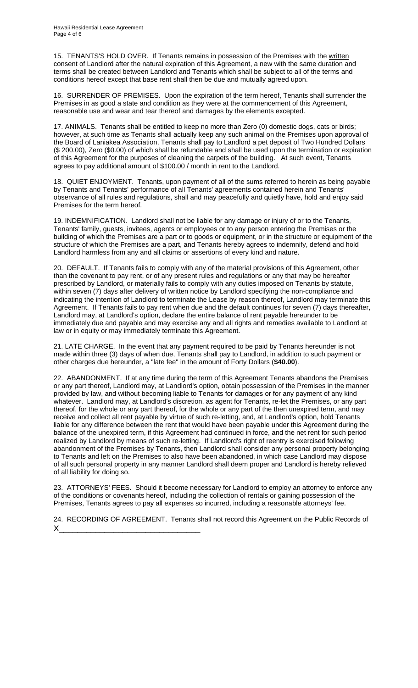15. TENANTS'S HOLD OVER. If Tenants remains in possession of the Premises with the written consent of Landlord after the natural expiration of this Agreement, a new with the same duration and terms shall be created between Landlord and Tenants which shall be subject to all of the terms and conditions hereof except that base rent shall then be due and mutually agreed upon.

16. SURRENDER OF PREMISES. Upon the expiration of the term hereof, Tenants shall surrender the Premises in as good a state and condition as they were at the commencement of this Agreement, reasonable use and wear and tear thereof and damages by the elements excepted.

17. ANIMALS. Tenants shall be entitled to keep no more than Zero (0) domestic dogs, cats or birds; however, at such time as Tenants shall actually keep any such animal on the Premises upon approval of the Board of Laniakea Association, Tenants shall pay to Landlord a pet deposit of Two Hundred Dollars (\$ 200.00), Zero (\$0.00) of which shall be refundable and shall be used upon the termination or expiration of this Agreement for the purposes of cleaning the carpets of the building. At such event, Tenants agrees to pay additional amount of \$100.00 / month in rent to the Landlord.

18. QUIET ENJOYMENT. Tenants, upon payment of all of the sums referred to herein as being payable by Tenants and Tenants' performance of all Tenants' agreements contained herein and Tenants' observance of all rules and regulations, shall and may peacefully and quietly have, hold and enjoy said Premises for the term hereof.

19. INDEMNIFICATION. Landlord shall not be liable for any damage or injury of or to the Tenants, Tenants' family, guests, invitees, agents or employees or to any person entering the Premises or the building of which the Premises are a part or to goods or equipment, or in the structure or equipment of the structure of which the Premises are a part, and Tenants hereby agrees to indemnify, defend and hold Landlord harmless from any and all claims or assertions of every kind and nature.

20. DEFAULT. If Tenants fails to comply with any of the material provisions of this Agreement, other than the covenant to pay rent, or of any present rules and regulations or any that may be hereafter prescribed by Landlord, or materially fails to comply with any duties imposed on Tenants by statute, within seven (7) days after delivery of written notice by Landlord specifying the non-compliance and indicating the intention of Landlord to terminate the Lease by reason thereof, Landlord may terminate this Agreement. If Tenants fails to pay rent when due and the default continues for seven (7) days thereafter, Landlord may, at Landlord's option, declare the entire balance of rent payable hereunder to be immediately due and payable and may exercise any and all rights and remedies available to Landlord at law or in equity or may immediately terminate this Agreement.

21. LATE CHARGE. In the event that any payment required to be paid by Tenants hereunder is not made within three (3) days of when due, Tenants shall pay to Landlord, in addition to such payment or other charges due hereunder, a "late fee" in the amount of Forty Dollars (**\$40.00**).

22. ABANDONMENT. If at any time during the term of this Agreement Tenants abandons the Premises or any part thereof, Landlord may, at Landlord's option, obtain possession of the Premises in the manner provided by law, and without becoming liable to Tenants for damages or for any payment of any kind whatever. Landlord may, at Landlord's discretion, as agent for Tenants, re-let the Premises, or any part thereof, for the whole or any part thereof, for the whole or any part of the then unexpired term, and may receive and collect all rent payable by virtue of such re-letting, and, at Landlord's option, hold Tenants liable for any difference between the rent that would have been payable under this Agreement during the balance of the unexpired term, if this Agreement had continued in force, and the net rent for such period realized by Landlord by means of such re-letting. If Landlord's right of reentry is exercised following abandonment of the Premises by Tenants, then Landlord shall consider any personal property belonging to Tenants and left on the Premises to also have been abandoned, in which case Landlord may dispose of all such personal property in any manner Landlord shall deem proper and Landlord is hereby relieved of all liability for doing so.

23. ATTORNEYS' FEES. Should it become necessary for Landlord to employ an attorney to enforce any of the conditions or covenants hereof, including the collection of rentals or gaining possession of the Premises, Tenants agrees to pay all expenses so incurred, including a reasonable attorneys' fee.

X\_\_\_\_\_\_\_\_\_\_\_\_\_\_\_\_\_\_\_\_\_\_\_\_\_\_\_\_\_\_\_ 24. RECORDING OF AGREEMENT. Tenants shall not record this Agreement on the Public Records of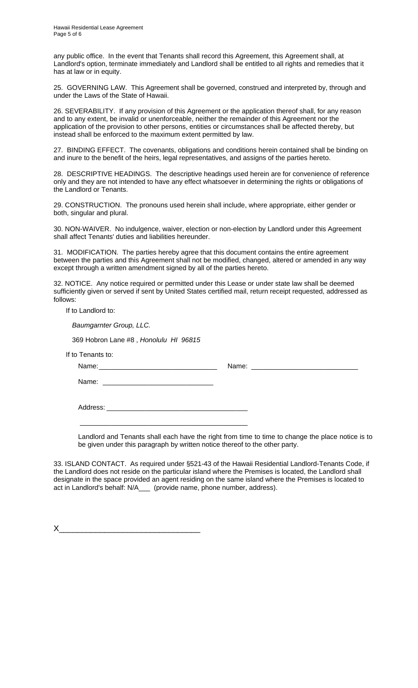any public office. In the event that Tenants shall record this Agreement, this Agreement shall, at Landlord's option, terminate immediately and Landlord shall be entitled to all rights and remedies that it has at law or in equity.

25. GOVERNING LAW. This Agreement shall be governed, construed and interpreted by, through and under the Laws of the State of Hawaii.

26. SEVERABILITY. If any provision of this Agreement or the application thereof shall, for any reason and to any extent, be invalid or unenforceable, neither the remainder of this Agreement nor the application of the provision to other persons, entities or circumstances shall be affected thereby, but instead shall be enforced to the maximum extent permitted by law.

27. BINDING EFFECT. The covenants, obligations and conditions herein contained shall be binding on and inure to the benefit of the heirs, legal representatives, and assigns of the parties hereto.

28. DESCRIPTIVE HEADINGS. The descriptive headings used herein are for convenience of reference only and they are not intended to have any effect whatsoever in determining the rights or obligations of the Landlord or Tenants.

29. CONSTRUCTION. The pronouns used herein shall include, where appropriate, either gender or both, singular and plural.

30. NON-WAIVER. No indulgence, waiver, election or non-election by Landlord under this Agreement shall affect Tenants' duties and liabilities hereunder.

31. MODIFICATION. The parties hereby agree that this document contains the entire agreement between the parties and this Agreement shall not be modified, changed, altered or amended in any way except through a written amendment signed by all of the parties hereto.

32. NOTICE. Any notice required or permitted under this Lease or under state law shall be deemed sufficiently given or served if sent by United States certified mail, return receipt requested, addressed as follows:

If to Landlord to:

*Baumgarnter Group, LLC.* 

369 Hobron Lane #8 , *Honolulu HI 96815*

If to Tenants to:

Name:

Name: \_\_\_\_\_\_\_\_\_\_\_\_\_\_\_\_\_\_\_\_\_\_\_\_\_\_\_\_\_\_\_ Name: \_\_\_\_\_\_\_\_\_\_\_\_\_\_\_\_\_\_\_\_\_\_\_\_\_\_\_\_

Address: \_\_\_\_\_\_\_\_\_\_\_\_\_\_\_\_\_\_\_\_\_\_\_\_\_\_\_\_\_\_\_\_\_\_\_\_\_

\_\_\_\_\_\_\_\_\_\_\_\_\_\_\_\_\_\_\_\_\_\_\_\_\_\_\_\_\_\_\_\_\_\_\_\_\_\_\_\_\_\_\_\_

Landlord and Tenants shall each have the right from time to time to change the place notice is to be given under this paragraph by written notice thereof to the other party.

33. ISLAND CONTACT. As required under §521-43 of the Hawaii Residential Landlord-Tenants Code, if the Landlord does not reside on the particular island where the Premises is located, the Landlord shall designate in the space provided an agent residing on the same island where the Premises is located to act in Landlord's behalf: N/A\_\_\_ (provide name, phone number, address).